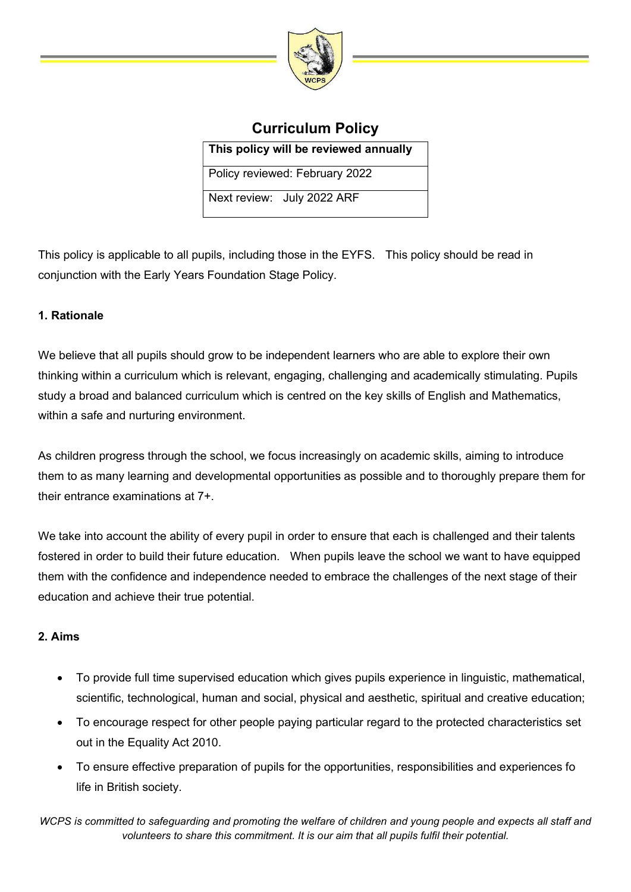

# Curriculum Policy

This policy will be reviewed annually

Policy reviewed: February 2022

Next review: July 2022 ARF

This policy is applicable to all pupils, including those in the EYFS. This policy should be read in conjunction with the Early Years Foundation Stage Policy.

# 1. Rationale

We believe that all pupils should grow to be independent learners who are able to explore their own thinking within a curriculum which is relevant, engaging, challenging and academically stimulating. Pupils study a broad and balanced curriculum which is centred on the key skills of English and Mathematics, within a safe and nurturing environment.

As children progress through the school, we focus increasingly on academic skills, aiming to introduce them to as many learning and developmental opportunities as possible and to thoroughly prepare them for their entrance examinations at 7+.

We take into account the ability of every pupil in order to ensure that each is challenged and their talents fostered in order to build their future education. When pupils leave the school we want to have equipped them with the confidence and independence needed to embrace the challenges of the next stage of their education and achieve their true potential.

## 2. Aims

- To provide full time supervised education which gives pupils experience in linguistic, mathematical, scientific, technological, human and social, physical and aesthetic, spiritual and creative education;
- To encourage respect for other people paying particular regard to the protected characteristics set out in the Equality Act 2010.
- To ensure effective preparation of pupils for the opportunities, responsibilities and experiences fo life in British society.

WCPS is committed to safeguarding and promoting the welfare of children and young people and expects all staff and volunteers to share this commitment. It is our aim that all pupils fulfil their potential.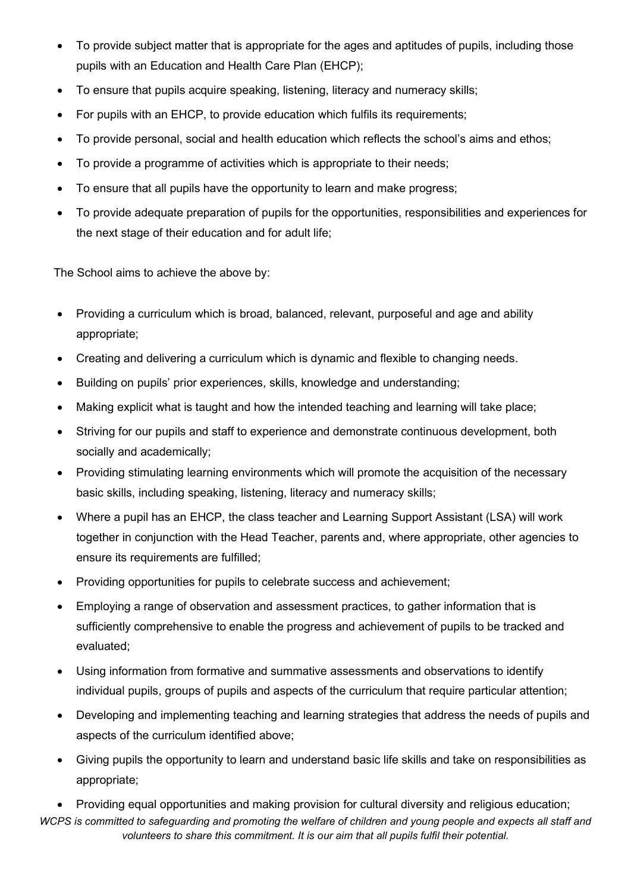- To provide subject matter that is appropriate for the ages and aptitudes of pupils, including those pupils with an Education and Health Care Plan (EHCP);
- To ensure that pupils acquire speaking, listening, literacy and numeracy skills;
- For pupils with an EHCP, to provide education which fulfils its requirements;
- To provide personal, social and health education which reflects the school's aims and ethos;
- To provide a programme of activities which is appropriate to their needs;
- To ensure that all pupils have the opportunity to learn and make progress;
- To provide adequate preparation of pupils for the opportunities, responsibilities and experiences for the next stage of their education and for adult life;

The School aims to achieve the above by:

- Providing a curriculum which is broad, balanced, relevant, purposeful and age and ability appropriate;
- Creating and delivering a curriculum which is dynamic and flexible to changing needs.
- Building on pupils' prior experiences, skills, knowledge and understanding;
- Making explicit what is taught and how the intended teaching and learning will take place;
- Striving for our pupils and staff to experience and demonstrate continuous development, both socially and academically;
- Providing stimulating learning environments which will promote the acquisition of the necessary basic skills, including speaking, listening, literacy and numeracy skills;
- Where a pupil has an EHCP, the class teacher and Learning Support Assistant (LSA) will work together in conjunction with the Head Teacher, parents and, where appropriate, other agencies to ensure its requirements are fulfilled;
- Providing opportunities for pupils to celebrate success and achievement;
- Employing a range of observation and assessment practices, to gather information that is sufficiently comprehensive to enable the progress and achievement of pupils to be tracked and evaluated;
- Using information from formative and summative assessments and observations to identify individual pupils, groups of pupils and aspects of the curriculum that require particular attention;
- Developing and implementing teaching and learning strategies that address the needs of pupils and aspects of the curriculum identified above;
- Giving pupils the opportunity to learn and understand basic life skills and take on responsibilities as appropriate;

WCPS is committed to safeguarding and promoting the welfare of children and young people and expects all staff and volunteers to share this commitment. It is our aim that all pupils fulfil their potential. Providing equal opportunities and making provision for cultural diversity and religious education;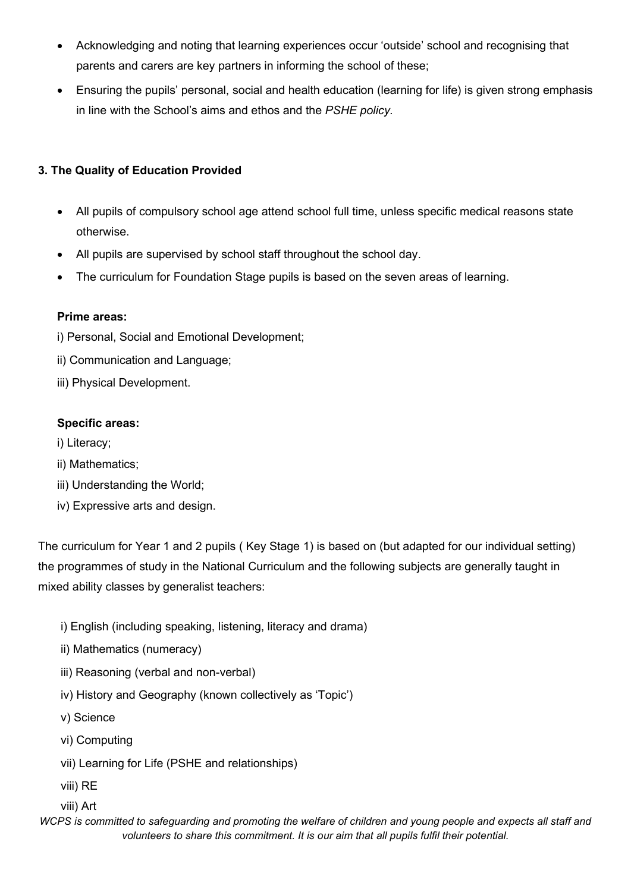- Acknowledging and noting that learning experiences occur 'outside' school and recognising that parents and carers are key partners in informing the school of these;
- Ensuring the pupils' personal, social and health education (learning for life) is given strong emphasis in line with the School's aims and ethos and the PSHE policy.

# 3. The Quality of Education Provided

- All pupils of compulsory school age attend school full time, unless specific medical reasons state otherwise.
- All pupils are supervised by school staff throughout the school day.
- The curriculum for Foundation Stage pupils is based on the seven areas of learning.

#### Prime areas:

- i) Personal, Social and Emotional Development;
- ii) Communication and Language;
- iii) Physical Development.

#### Specific areas:

- i) Literacy;
- ii) Mathematics;
- iii) Understanding the World;
- iv) Expressive arts and design.

The curriculum for Year 1 and 2 pupils ( Key Stage 1) is based on (but adapted for our individual setting) the programmes of study in the National Curriculum and the following subjects are generally taught in mixed ability classes by generalist teachers:

- i) English (including speaking, listening, literacy and drama)
- ii) Mathematics (numeracy)
- iii) Reasoning (verbal and non-verbal)
- iv) History and Geography (known collectively as 'Topic')
- v) Science
- vi) Computing
- vii) Learning for Life (PSHE and relationships)
- viii) RE
- viii) Art

WCPS is committed to safeguarding and promoting the welfare of children and young people and expects all staff and volunteers to share this commitment. It is our aim that all pupils fulfil their potential.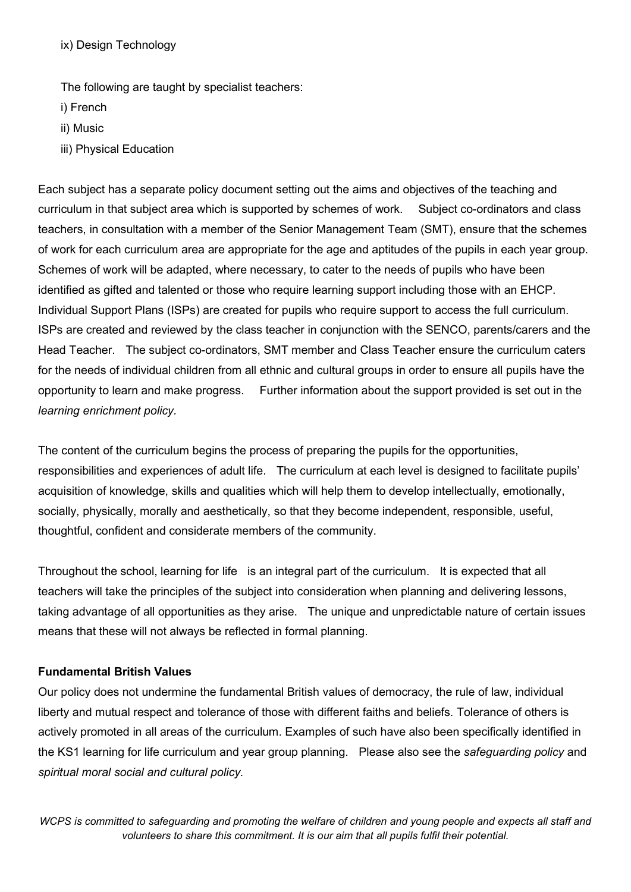ix) Design Technology

The following are taught by specialist teachers:

- i) French
- ii) Music
- iii) Physical Education

Each subject has a separate policy document setting out the aims and objectives of the teaching and curriculum in that subject area which is supported by schemes of work. Subject co-ordinators and class teachers, in consultation with a member of the Senior Management Team (SMT), ensure that the schemes of work for each curriculum area are appropriate for the age and aptitudes of the pupils in each year group. Schemes of work will be adapted, where necessary, to cater to the needs of pupils who have been identified as gifted and talented or those who require learning support including those with an EHCP. Individual Support Plans (ISPs) are created for pupils who require support to access the full curriculum. ISPs are created and reviewed by the class teacher in conjunction with the SENCO, parents/carers and the Head Teacher. The subject co-ordinators, SMT member and Class Teacher ensure the curriculum caters for the needs of individual children from all ethnic and cultural groups in order to ensure all pupils have the opportunity to learn and make progress. Further information about the support provided is set out in the learning enrichment policy.

The content of the curriculum begins the process of preparing the pupils for the opportunities, responsibilities and experiences of adult life. The curriculum at each level is designed to facilitate pupils' acquisition of knowledge, skills and qualities which will help them to develop intellectually, emotionally, socially, physically, morally and aesthetically, so that they become independent, responsible, useful, thoughtful, confident and considerate members of the community.

Throughout the school, learning for life is an integral part of the curriculum. It is expected that all teachers will take the principles of the subject into consideration when planning and delivering lessons, taking advantage of all opportunities as they arise. The unique and unpredictable nature of certain issues means that these will not always be reflected in formal planning.

## Fundamental British Values

Our policy does not undermine the fundamental British values of democracy, the rule of law, individual liberty and mutual respect and tolerance of those with different faiths and beliefs. Tolerance of others is actively promoted in all areas of the curriculum. Examples of such have also been specifically identified in the KS1 learning for life curriculum and year group planning. Please also see the safeguarding policy and spiritual moral social and cultural policy.

WCPS is committed to safeguarding and promoting the welfare of children and young people and expects all staff and volunteers to share this commitment. It is our aim that all pupils fulfil their potential.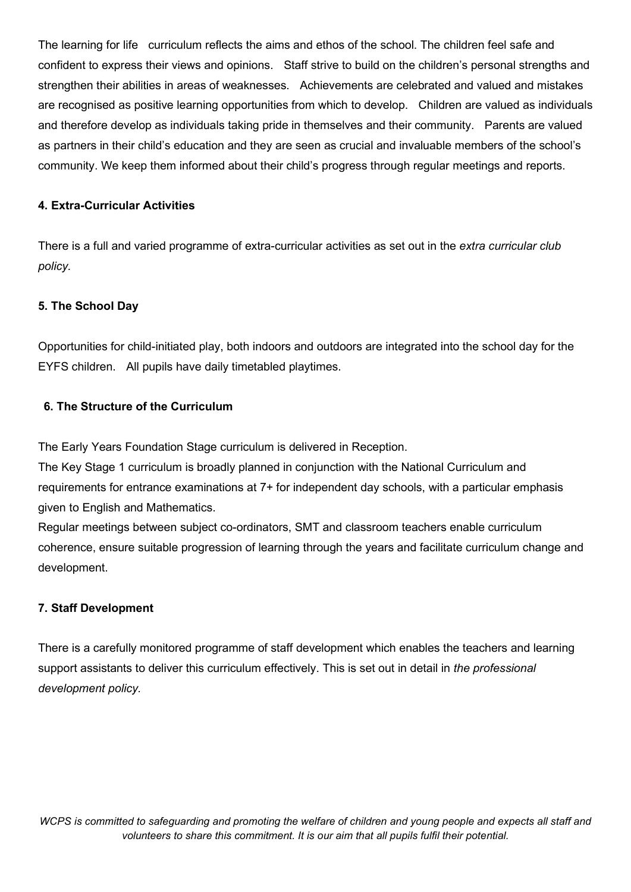The learning for life curriculum reflects the aims and ethos of the school. The children feel safe and confident to express their views and opinions. Staff strive to build on the children's personal strengths and strengthen their abilities in areas of weaknesses. Achievements are celebrated and valued and mistakes are recognised as positive learning opportunities from which to develop. Children are valued as individuals and therefore develop as individuals taking pride in themselves and their community. Parents are valued as partners in their child's education and they are seen as crucial and invaluable members of the school's community. We keep them informed about their child's progress through regular meetings and reports.

#### 4. Extra-Curricular Activities

There is a full and varied programme of extra-curricular activities as set out in the extra curricular club policy.

## 5. The School Day

Opportunities for child-initiated play, both indoors and outdoors are integrated into the school day for the EYFS children. All pupils have daily timetabled playtimes.

## 6. The Structure of the Curriculum

The Early Years Foundation Stage curriculum is delivered in Reception.

The Key Stage 1 curriculum is broadly planned in conjunction with the National Curriculum and requirements for entrance examinations at 7+ for independent day schools, with a particular emphasis given to English and Mathematics.

Regular meetings between subject co-ordinators, SMT and classroom teachers enable curriculum coherence, ensure suitable progression of learning through the years and facilitate curriculum change and development.

## 7. Staff Development

There is a carefully monitored programme of staff development which enables the teachers and learning support assistants to deliver this curriculum effectively. This is set out in detail in the professional development policy.

WCPS is committed to safeguarding and promoting the welfare of children and young people and expects all staff and volunteers to share this commitment. It is our aim that all pupils fulfil their potential.